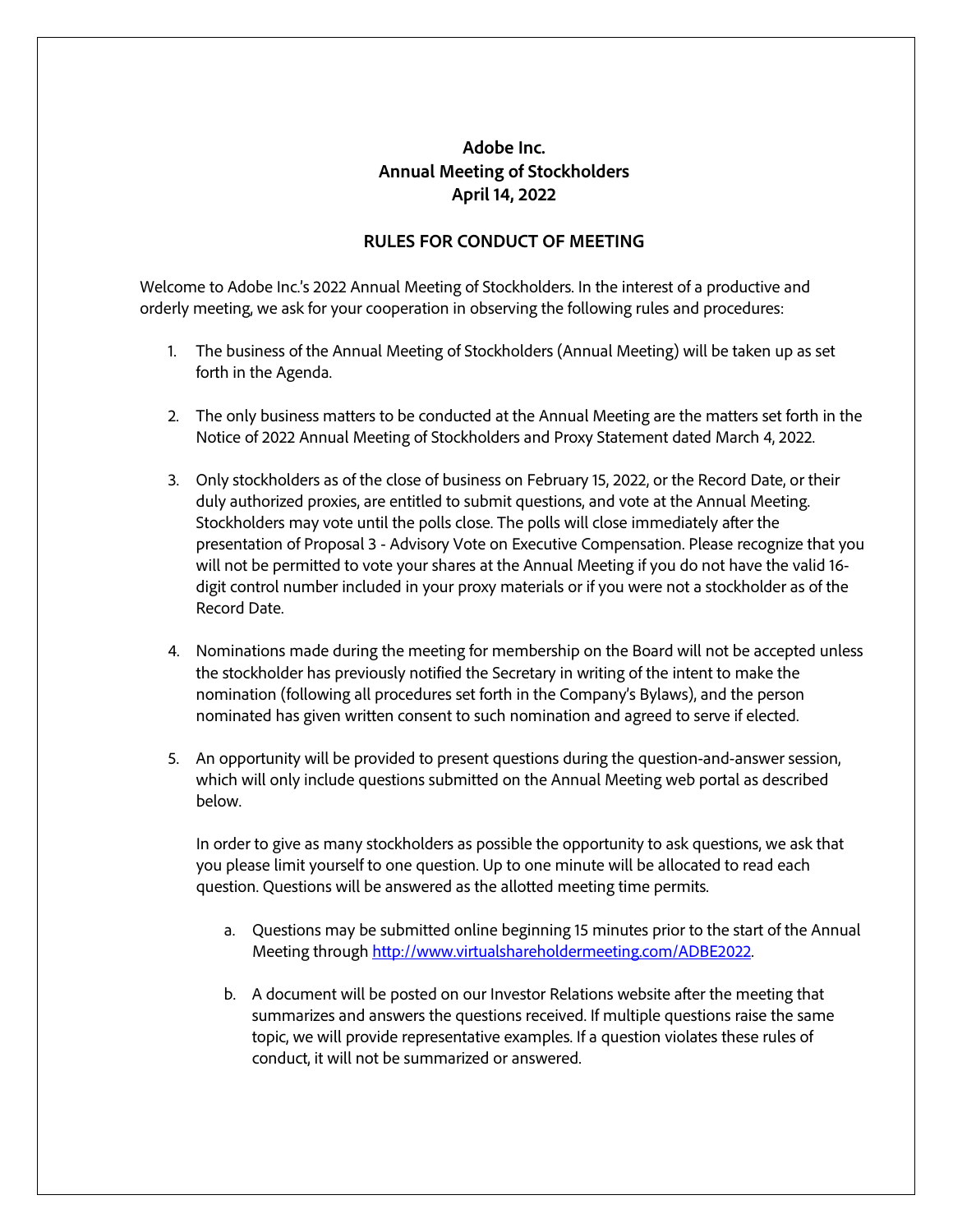## **Adobe Inc. Annual Meeting of Stockholders April 14, 2022**

## **RULES FOR CONDUCT OF MEETING**

Welcome to Adobe Inc.'s 2022 Annual Meeting of Stockholders. In the interest of a productive and orderly meeting, we ask for your cooperation in observing the following rules and procedures:

- 1. The business of the Annual Meeting of Stockholders (Annual Meeting) will be taken up as set forth in the Agenda.
- 2. The only business matters to be conducted at the Annual Meeting are the matters set forth in the Notice of 2022 Annual Meeting of Stockholders and Proxy Statement dated March 4, 2022.
- 3. Only stockholders as of the close of business on February 15, 2022, or the Record Date, or their duly authorized proxies, are entitled to submit questions, and vote at the Annual Meeting. Stockholders may vote until the polls close. The polls will close immediately after the presentation of Proposal 3 - Advisory Vote on Executive Compensation. Please recognize that you will not be permitted to vote your shares at the Annual Meeting if you do not have the valid 16 digit control number included in your proxy materials or if you were not a stockholder as of the Record Date.
- 4. Nominations made during the meeting for membership on the Board will not be accepted unless the stockholder has previously notified the Secretary in writing of the intent to make the nomination (following all procedures set forth in the Company's Bylaws), and the person nominated has given written consent to such nomination and agreed to serve if elected.
- 5. An opportunity will be provided to present questions during the question-and-answer session, which will only include questions submitted on the Annual Meeting web portal as described below.

In order to give as many stockholders as possible the opportunity to ask questions, we ask that you please limit yourself to one question. Up to one minute will be allocated to read each question. Questions will be answered as the allotted meeting time permits.

- a. Questions may be submitted online beginning 15 minutes prior to the start of the Annual Meeting through [http://www.virtualshareholdermeeting.com/ADBE2022.](http://www.virtualshareholdermeeting.com/ADBE2022)
- b. A document will be posted on our Investor Relations website after the meeting that summarizes and answers the questions received. If multiple questions raise the same topic, we will provide representative examples. If a question violates these rules of conduct, it will not be summarized or answered.